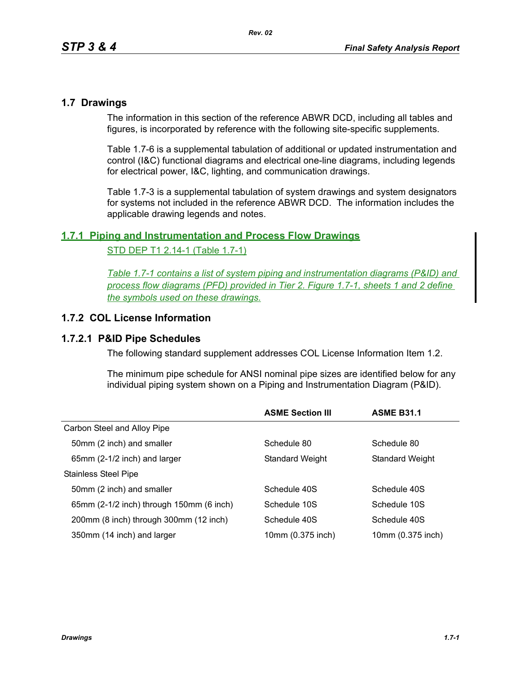### **1.7 Drawings**

The information in this section of the reference ABWR DCD, including all tables and figures, is incorporated by reference with the following site-specific supplements.

Table [1.7-6](#page-2-0) is a supplemental tabulation of additional or updated instrumentation and control (I&C) functional diagrams and electrical one-line diagrams, including legends for electrical power, I&C, lighting, and communication drawings.

Table 1.7-3 is a supplemental tabulation of system drawings and system designators for systems not included in the reference ABWR DCD. The information includes the applicable drawing legends and notes.

## **1.7.1 Piping and Instrumentation and Process Flow Drawings**

#### STD DEP T1 2.14-1 (Table 1.7-1)

*Table 1.7-1 contains a list of system piping and instrumentation diagrams (P&ID) and process flow diagrams (PFD) provided in Tier 2. Figure 1.7-1, sheets 1 and 2 define the symbols used on these drawings.*

## **1.7.2 COL License Information**

#### **1.7.2.1 P&ID Pipe Schedules**

The following standard supplement addresses COL License Information Item 1.2.

The minimum pipe schedule for ANSI nominal pipe sizes are identified below for any individual piping system shown on a Piping and Instrumentation Diagram (P&ID).

|                                          | <b>ASME Section III</b> | <b>ASME B31.1</b> |
|------------------------------------------|-------------------------|-------------------|
| Carbon Steel and Alloy Pipe              |                         |                   |
| 50mm (2 inch) and smaller                | Schedule 80             | Schedule 80       |
| 65mm (2-1/2 inch) and larger             | <b>Standard Weight</b>  | Standard Weight   |
| Stainless Steel Pipe                     |                         |                   |
| 50mm (2 inch) and smaller                | Schedule 40S            | Schedule 40S      |
| 65mm (2-1/2 inch) through 150mm (6 inch) | Schedule 10S            | Schedule 10S      |
| 200mm (8 inch) through 300mm (12 inch)   | Schedule 40S            | Schedule 40S      |
| 350mm (14 inch) and larger               | 10mm (0.375 inch)       | 10mm (0.375 inch) |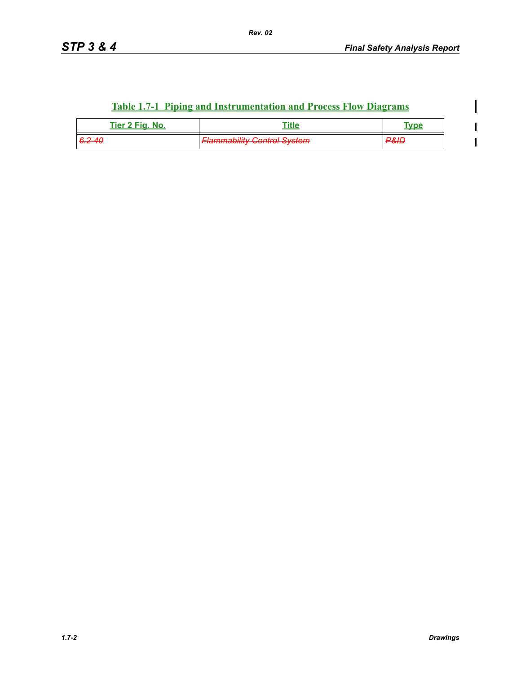$\mathbf I$ 

 $\blacksquare$  $\overline{\mathbf{I}}$ 

# **Table 1.7-1 Piping and Instrumentation and Process Flow Diagrams**

| Tier 2 Fig. No.   | ⊓itle                              | $\mathbf{m}$   |
|-------------------|------------------------------------|----------------|
| <del>6.2-40</del> | <b>Flammability Control System</b> | וו פר<br>- 312 |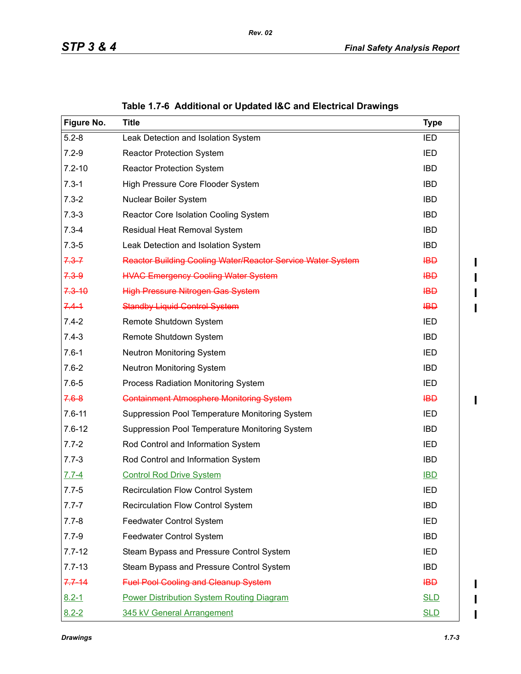<span id="page-2-0"></span>

| Figure No. | <b>Title</b>                                                | <b>Type</b>      |
|------------|-------------------------------------------------------------|------------------|
| $5.2 - 8$  | Leak Detection and Isolation System                         | <b>IED</b>       |
| $7.2 - 9$  | <b>Reactor Protection System</b>                            | <b>IED</b>       |
| $7.2 - 10$ | <b>Reactor Protection System</b>                            | <b>IBD</b>       |
| $7.3 - 1$  | High Pressure Core Flooder System                           | <b>IBD</b>       |
| $7.3 - 2$  | Nuclear Boiler System                                       | <b>IBD</b>       |
| $7.3 - 3$  | Reactor Core Isolation Cooling System                       | <b>IBD</b>       |
| $7.3 - 4$  | Residual Heat Removal System                                | <b>IBD</b>       |
| $7.3 - 5$  | Leak Detection and Isolation System                         | <b>IBD</b>       |
| $7.3 - 7$  | Reactor Building Cooling Water/Reactor Service Water System | $H\rightarrow H$ |
| $7.3 - 9$  | <b>HVAC Emergency Cooling Water System</b>                  | <b>IBD</b>       |
| $7.3 - 10$ | <b>High Pressure Nitrogen Gas System</b>                    | <b>IBD</b>       |
| $7.4 - 1$  | <b>Standby Liquid Control System</b>                        | <b>IBD</b>       |
| $7.4 - 2$  | Remote Shutdown System                                      | IED              |
| $7.4 - 3$  | Remote Shutdown System                                      | <b>IBD</b>       |
| $7.6 - 1$  | Neutron Monitoring System                                   | IED              |
| $7.6 - 2$  | Neutron Monitoring System                                   | <b>IBD</b>       |
| $7.6 - 5$  | Process Radiation Monitoring System                         | IED              |
| $7.6 - 8$  | <b>Containment Atmosphere Monitoring System</b>             | <b>IBD</b>       |
| $7.6 - 11$ | Suppression Pool Temperature Monitoring System              | IED              |
| $7.6 - 12$ | Suppression Pool Temperature Monitoring System              | <b>IBD</b>       |
| $7.7 - 2$  | Rod Control and Information System                          | IED              |
| $7.7 - 3$  | Rod Control and Information System                          | <b>IBD</b>       |
| $7.7 - 4$  | <b>Control Rod Drive System</b>                             | <b>IBD</b>       |
| $7.7 - 5$  | <b>Recirculation Flow Control System</b>                    | <b>IED</b>       |
| $7.7 - 7$  | <b>Recirculation Flow Control System</b>                    | <b>IBD</b>       |
| $7.7 - 8$  | Feedwater Control System                                    | IED              |
| $7.7 - 9$  | Feedwater Control System                                    | <b>IBD</b>       |
| $7.7 - 12$ | Steam Bypass and Pressure Control System                    | IED              |
| $7.7 - 13$ | Steam Bypass and Pressure Control System                    | <b>IBD</b>       |
| $7.7 - 14$ | <b>Fuel Pool Cooling and Cleanup System</b>                 | $H\rightarrow H$ |
| $8.2 - 1$  | <b>Power Distribution System Routing Diagram</b>            | <b>SLD</b>       |
| $8.2 - 2$  | 345 kV General Arrangement                                  | <b>SLD</b>       |

# **Table 1.7-6 Additional or Updated I&C and Electrical Drawings**

*Rev. 02*

 $\begin{array}{c} \rule{0pt}{2.5ex} \rule{0pt}{2.5ex} \rule{0pt}{2.5ex} \rule{0pt}{2.5ex} \rule{0pt}{2.5ex} \rule{0pt}{2.5ex} \rule{0pt}{2.5ex} \rule{0pt}{2.5ex} \rule{0pt}{2.5ex} \rule{0pt}{2.5ex} \rule{0pt}{2.5ex} \rule{0pt}{2.5ex} \rule{0pt}{2.5ex} \rule{0pt}{2.5ex} \rule{0pt}{2.5ex} \rule{0pt}{2.5ex} \rule{0pt}{2.5ex} \rule{0pt}{2.5ex} \rule{0pt}{2.5ex} \rule{0$  $\mathbf I$  $\blacksquare$ 

 $\blacksquare$  $\mathbf{I}$ 

 $\blacksquare$